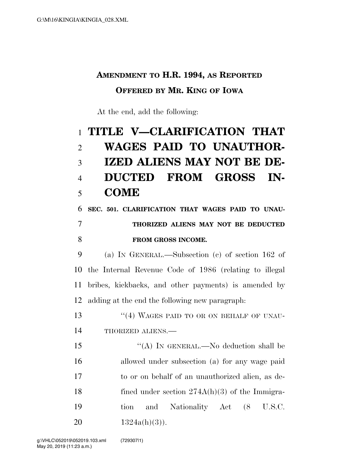## **AMENDMENT TO H.R. 1994, AS REPORTED OFFERED BY MR. KING OF IOWA**

At the end, add the following:

## **TITLE V—CLARIFICATION THAT WAGES PAID TO UNAUTHOR- IZED ALIENS MAY NOT BE DE- DUCTED FROM GROSS IN-COME**

## **SEC. 501. CLARIFICATION THAT WAGES PAID TO UNAU- THORIZED ALIENS MAY NOT BE DEDUCTED FROM GROSS INCOME.**

 (a) IN GENERAL.—Subsection (c) of section 162 of the Internal Revenue Code of 1986 (relating to illegal bribes, kickbacks, and other payments) is amended by adding at the end the following new paragraph:

13 "(4) WAGES PAID TO OR ON BEHALF OF UNAU-THORIZED ALIENS.—

 ''(A) IN GENERAL.—No deduction shall be allowed under subsection (a) for any wage paid to or on behalf of an unauthorized alien, as de-18 fined under section 274A(h)(3) of the Immigra- tion and Nationality Act (8 U.S.C.  $1324a(h)(3)$ .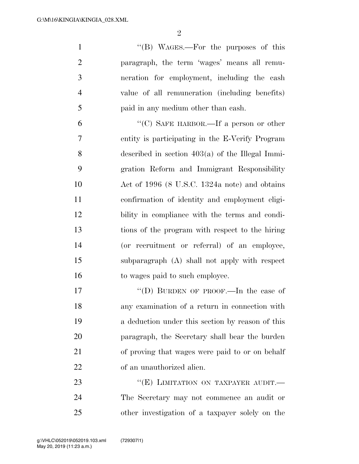$\mathfrak{D}$ 

1 ''(B) WAGES.—For the purposes of this paragraph, the term 'wages' means all remu- neration for employment, including the cash value of all remuneration (including benefits) paid in any medium other than cash.

 ''(C) SAFE HARBOR.—If a person or other entity is participating in the E-Verify Program described in section 403(a) of the Illegal Immi- gration Reform and Immigrant Responsibility Act of 1996 (8 U.S.C. 1324a note) and obtains confirmation of identity and employment eligi- bility in compliance with the terms and condi- tions of the program with respect to the hiring (or recruitment or referral) of an employee, subparagraph (A) shall not apply with respect to wages paid to such employee.

17 ""(D) BURDEN OF PROOF.—In the case of any examination of a return in connection with a deduction under this section by reason of this paragraph, the Secretary shall bear the burden of proving that wages were paid to or on behalf of an unauthorized alien.

23 "(E) LIMITATION ON TAXPAYER AUDIT. The Secretary may not commence an audit or other investigation of a taxpayer solely on the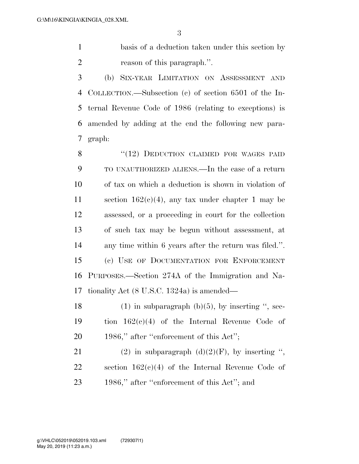basis of a deduction taken under this section by reason of this paragraph.''.

 (b) SIX-YEAR LIMITATION ON ASSESSMENT AND COLLECTION.—Subsection (c) of section 6501 of the In- ternal Revenue Code of 1986 (relating to exceptions) is amended by adding at the end the following new para-graph:

8 "(12) DEDUCTION CLAIMED FOR WAGES PAID TO UNAUTHORIZED ALIENS.—In the case of a return of tax on which a deduction is shown in violation of section 162(c)(4), any tax under chapter 1 may be assessed, or a proceeding in court for the collection of such tax may be begun without assessment, at any time within 6 years after the return was filed.''. (c) USE OF DOCUMENTATION FOR ENFORCEMENT PURPOSES.—Section 274A of the Immigration and Na-tionality Act (8 U.S.C. 1324a) is amended—

18 (1) in subparagraph  $(b)(5)$ , by inserting ", sec- tion 162(c)(4) of the Internal Revenue Code of 20 1986," after "enforcement of this Act";

21 (2) in subparagraph  $(d)(2)(F)$ , by inserting ", section 162(c)(4) of the Internal Revenue Code of 23 1986," after "enforcement of this Act"; and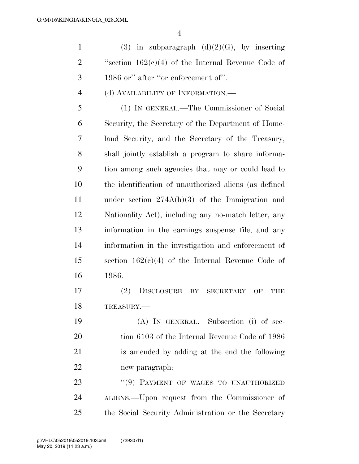1 (3) in subparagraph  $(d)(2)(G)$ , by inserting 2 ''s ection  $162(c)(4)$  of the Internal Revenue Code of 1986 or'' after ''or enforcement of''.

(d) AVAILABILITY OF INFORMATION.—

 (1) IN GENERAL.—The Commissioner of Social Security, the Secretary of the Department of Home- land Security, and the Secretary of the Treasury, shall jointly establish a program to share informa- tion among such agencies that may or could lead to the identification of unauthorized aliens (as defined under section 274A(h)(3) of the Immigration and Nationality Act), including any no-match letter, any information in the earnings suspense file, and any information in the investigation and enforcement of section 162(c)(4) of the Internal Revenue Code of 1986.

 (2) DISCLOSURE BY SECRETARY OF THE TREASURY.—

 (A) IN GENERAL.—Subsection (i) of sec-20 tion 6103 of the Internal Revenue Code of 1986 is amended by adding at the end the following new paragraph:

23 "(9) PAYMENT OF WAGES TO UNAUTHORIZED ALIENS.—Upon request from the Commissioner of the Social Security Administration or the Secretary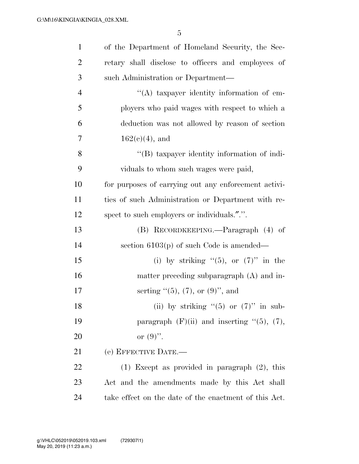5

| $\mathbf{1}$   | of the Department of Homeland Security, the Sec-      |  |
|----------------|-------------------------------------------------------|--|
| $\overline{2}$ | retary shall disclose to officers and employees of    |  |
| 3              | such Administration or Department—                    |  |
| $\overline{4}$ | "(A) taxpayer identity information of em-             |  |
| 5              | ployers who paid wages with respect to which a        |  |
| 6              | deduction was not allowed by reason of section        |  |
| 7              | $162(c)(4)$ , and                                     |  |
| 8              | "(B) taxpayer identity information of indi-           |  |
| 9              | viduals to whom such wages were paid,                 |  |
| 10             | for purposes of carrying out any enforcement activi-  |  |
| 11             | ties of such Administration or Department with re-    |  |
| 12             | spect to such employers or individuals.".".           |  |
| 13             | (B) RECORDKEEPING.—Paragraph (4) of                   |  |
| 14             | section $6103(p)$ of such Code is amended—            |  |
| 15             | (i) by striking " $(5)$ , or $(7)$ " in the           |  |
| 16             | matter preceding subparagraph (A) and in-             |  |
| 17             | serting $(5)$ , (7), or (9)", and                     |  |
| 18             | (ii) by striking " $(5)$ or $(7)$ " in sub-           |  |
| 19             | paragraph $(F)(ii)$ and inserting " $(5)$ , $(7)$ ,   |  |
| 20             | or $(9)$ .                                            |  |
| 21             | (e) EFFECTIVE DATE.-                                  |  |
| 22             | $(1)$ Except as provided in paragraph $(2)$ , this    |  |
| 23             | Act and the amendments made by this Act shall         |  |
| 24             | take effect on the date of the enactment of this Act. |  |